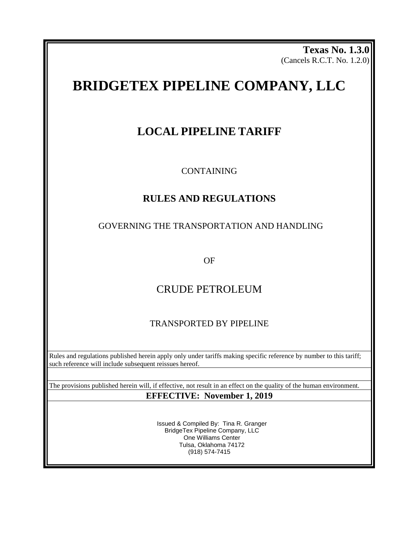**Texas No. 1.3.0** (Cancels R.C.T. No. 1.2.0)

# **BRIDGETEX PIPELINE COMPANY, LLC**

# **LOCAL PIPELINE TARIFF**

CONTAINING

# **RULES AND REGULATIONS**

# GOVERNING THE TRANSPORTATION AND HANDLING

OF

# CRUDE PETROLEUM

# TRANSPORTED BY PIPELINE

Rules and regulations published herein apply only under tariffs making specific reference by number to this tariff; such reference will include subsequent reissues hereof.

The provisions published herein will, if effective, not result in an effect on the quality of the human environment. **EFFECTIVE: November 1, 2019**

> Issued & Compiled By: Tina R. Granger BridgeTex Pipeline Company, LLC One Williams Center Tulsa, Oklahoma 74172 (918) 574-7415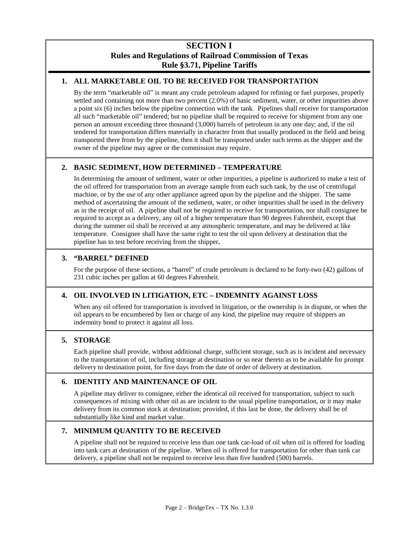# **SECTION I Rules and Regulations of Railroad Commission of Texas Rule §3.71, Pipeline Tariffs**

# **1. ALL MARKETABLE OIL TO BE RECEIVED FOR TRANSPORTATION**

By the term "marketable oil" is meant any crude petroleum adapted for refining or fuel purposes, properly settled and containing not more than two percent (2.0%) of basic sediment, water, or other impurities above a point six (6) inches below the pipeline connection with the tank. Pipelines shall receive for transportation all such "marketable oil" tendered; but no pipeline shall be required to receive for shipment from any one person an amount exceeding three thousand (3,000) barrels of petroleum in any one day; and, if the oil tendered for transportation differs materially in character from that usually produced in the field and being transported there from by the pipeline, then it shall be transported under such terms as the shipper and the owner of the pipeline may agree or the commission may require.

# **2. BASIC SEDIMENT, HOW DETERMINED – TEMPERATURE**

In determining the amount of sediment, water or other impurities, a pipeline is authorized to make a test of the oil offered for transportation from an average sample from each such tank, by the use of centrifugal machine, or by the use of any other appliance agreed upon by the pipeline and the shipper. The same method of ascertaining the amount of the sediment, water, or other impurities shall be used in the delivery as in the receipt of oil. A pipeline shall not be required to receive for transportation, nor shall consignee be required to accept as a delivery, any oil of a higher temperature than 90 degrees Fahrenheit, except that during the summer oil shall be received at any atmospheric temperature, and may be delivered at like temperature. Consignee shall have the same right to test the oil upon delivery at destination that the pipeline has to test before receiving from the shipper**.**

### **3. "BARREL" DEFINED**

For the purpose of these sections, a "barrel" of crude petroleum is declared to be forty-two (42) gallons of 231 cubic inches per gallon at 60 degrees Fahrenheit.

# **4. OIL INVOLVED IN LITIGATION, ETC – INDEMNITY AGAINST LOSS**

When any oil offered for transportation is involved in litigation, or the ownership is in dispute, or when the oil appears to be encumbered by lien or charge of any kind, the pipeline may require of shippers an indemnity bond to protect it against all loss.

# **5. STORAGE**

Each pipeline shall provide, without additional charge, sufficient storage, such as is incident and necessary to the transportation of oil, including storage at destination or so near thereto as to be available for prompt delivery to destination point, for five days from the date of order of delivery at destination.

# **6. IDENTITY AND MAINTENANCE OF OIL**

A pipeline may deliver to consignee, either the identical oil received for transportation, subject to such consequences of mixing with other oil as are incident to the usual pipeline transportation, or it may make delivery from its common stock at destination; provided, if this last be done, the delivery shall be of substantially like kind and market value.

# **7. MINIMUM QUANTITY TO BE RECEIVED**

A pipeline shall not be required to receive less than one tank car-load of oil when oil is offered for loading into tank cars at destination of the pipeline. When oil is offered for transportation for other than tank car delivery, a pipeline shall not be required to receive less than five hundred (500) barrels.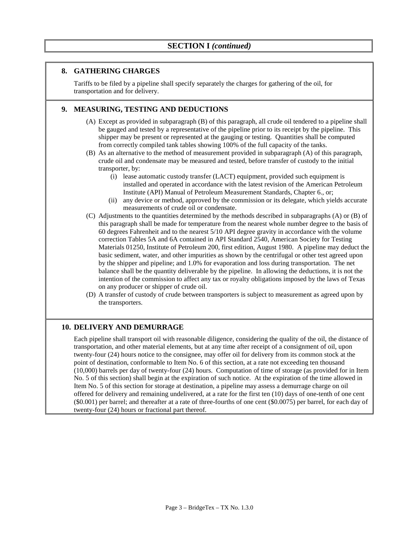#### **8. GATHERING CHARGES**

Tariffs to be filed by a pipeline shall specify separately the charges for gathering of the oil, for transportation and for delivery.

#### **9. MEASURING, TESTING AND DEDUCTIONS**

- (A) Except as provided in subparagraph (B) of this paragraph, all crude oil tendered to a pipeline shall be gauged and tested by a representative of the pipeline prior to its receipt by the pipeline. This shipper may be present or represented at the gauging or testing. Quantities shall be computed from correctly compiled tank tables showing 100% of the full capacity of the tanks.
- (B) As an alternative to the method of measurement provided in subparagraph (A) of this paragraph, crude oil and condensate may be measured and tested, before transfer of custody to the initial transporter, by:
	- (i) lease automatic custody transfer (LACT) equipment, provided such equipment is installed and operated in accordance with the latest revision of the American Petroleum Institute (API) Manual of Petroleum Measurement Standards, Chapter 6., or;
	- (ii) any device or method, approved by the commission or its delegate, which yields accurate measurements of crude oil or condensate.
- (C) Adjustments to the quantities determined by the methods described in subparagraphs (A) or (B) of this paragraph shall be made for temperature from the nearest whole number degree to the basis of 60 degrees Fahrenheit and to the nearest 5/10 API degree gravity in accordance with the volume correction Tables 5A and 6A contained in API Standard 2540, American Society for Testing Materials 01250, Institute of Petroleum 200, first edition, August 1980. A pipeline may deduct the basic sediment, water, and other impurities as shown by the centrifugal or other test agreed upon by the shipper and pipeline; and 1.0% for evaporation and loss during transportation. The net balance shall be the quantity deliverable by the pipeline. In allowing the deductions, it is not the intention of the commission to affect any tax or royalty obligations imposed by the laws of Texas on any producer or shipper of crude oil.
- (D) A transfer of custody of crude between transporters is subject to measurement as agreed upon by the transporters.

# **10. DELIVERY AND DEMURRAGE**

Each pipeline shall transport oil with reasonable diligence, considering the quality of the oil, the distance of transportation, and other material elements, but at any time after receipt of a consignment of oil, upon twenty-four (24) hours notice to the consignee, may offer oil for delivery from its common stock at the point of destination, conformable to Item No. 6 of this section, at a rate not exceeding ten thousand (10,000) barrels per day of twenty-four (24) hours. Computation of time of storage (as provided for in Item No. 5 of this section) shall begin at the expiration of such notice. At the expiration of the time allowed in Item No. 5 of this section for storage at destination, a pipeline may assess a demurrage charge on oil offered for delivery and remaining undelivered, at a rate for the first ten (10) days of one-tenth of one cent (\$0.001) per barrel; and thereafter at a rate of three-fourths of one cent (\$0.0075) per barrel, for each day of twenty-four (24) hours or fractional part thereof.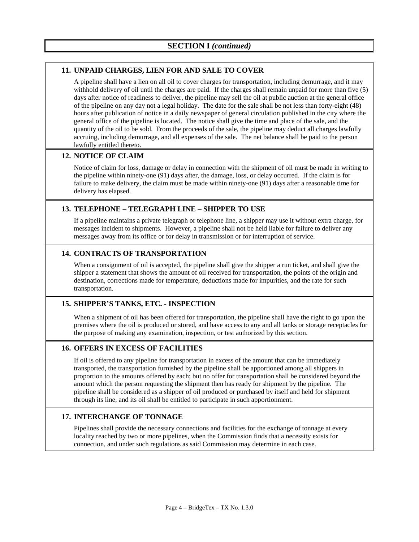### **11. UNPAID CHARGES, LIEN FOR AND SALE TO COVER**

A pipeline shall have a lien on all oil to cover charges for transportation, including demurrage, and it may withhold delivery of oil until the charges are paid. If the charges shall remain unpaid for more than five (5) days after notice of readiness to deliver, the pipeline may sell the oil at public auction at the general office of the pipeline on any day not a legal holiday. The date for the sale shall be not less than forty-eight (48) hours after publication of notice in a daily newspaper of general circulation published in the city where the general office of the pipeline is located. The notice shall give the time and place of the sale, and the quantity of the oil to be sold. From the proceeds of the sale, the pipeline may deduct all charges lawfully accruing, including demurrage, and all expenses of the sale. The net balance shall be paid to the person lawfully entitled thereto.

### **12. NOTICE OF CLAIM**

Notice of claim for loss, damage or delay in connection with the shipment of oil must be made in writing to the pipeline within ninety-one (91) days after, the damage, loss, or delay occurred. If the claim is for failure to make delivery, the claim must be made within ninety-one (91) days after a reasonable time for delivery has elapsed.

### **13. TELEPHONE – TELEGRAPH LINE – SHIPPER TO USE**

If a pipeline maintains a private telegraph or telephone line, a shipper may use it without extra charge, for messages incident to shipments. However, a pipeline shall not be held liable for failure to deliver any messages away from its office or for delay in transmission or for interruption of service.

### **14. CONTRACTS OF TRANSPORTATION**

When a consignment of oil is accepted, the pipeline shall give the shipper a run ticket, and shall give the shipper a statement that shows the amount of oil received for transportation, the points of the origin and destination, corrections made for temperature, deductions made for impurities, and the rate for such transportation.

# **15. SHIPPER'S TANKS, ETC. - INSPECTION**

When a shipment of oil has been offered for transportation, the pipeline shall have the right to go upon the premises where the oil is produced or stored, and have access to any and all tanks or storage receptacles for the purpose of making any examination, inspection, or test authorized by this section.

#### **16. OFFERS IN EXCESS OF FACILITIES**

If oil is offered to any pipeline for transportation in excess of the amount that can be immediately transported, the transportation furnished by the pipeline shall be apportioned among all shippers in proportion to the amounts offered by each; but no offer for transportation shall be considered beyond the amount which the person requesting the shipment then has ready for shipment by the pipeline. The pipeline shall be considered as a shipper of oil produced or purchased by itself and held for shipment through its line, and its oil shall be entitled to participate in such apportionment.

#### **17. INTERCHANGE OF TONNAGE**

Pipelines shall provide the necessary connections and facilities for the exchange of tonnage at every locality reached by two or more pipelines, when the Commission finds that a necessity exists for connection, and under such regulations as said Commission may determine in each case.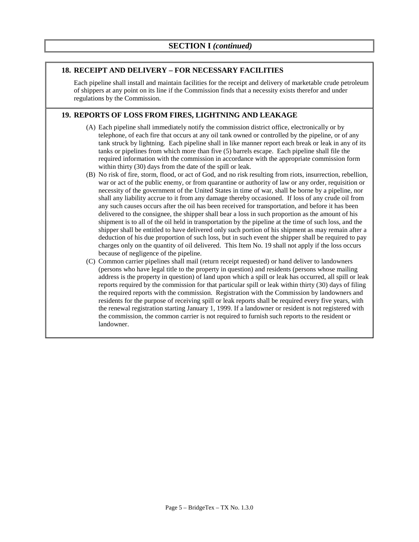#### **18. RECEIPT AND DELIVERY – FOR NECESSARY FACILITIES**

Each pipeline shall install and maintain facilities for the receipt and delivery of marketable crude petroleum of shippers at any point on its line if the Commission finds that a necessity exists therefor and under regulations by the Commission.

#### **19. REPORTS OF LOSS FROM FIRES, LIGHTNING AND LEAKAGE**

- (A) Each pipeline shall immediately notify the commission district office, electronically or by telephone, of each fire that occurs at any oil tank owned or controlled by the pipeline, or of any tank struck by lightning. Each pipeline shall in like manner report each break or leak in any of its tanks or pipelines from which more than five (5) barrels escape. Each pipeline shall file the required information with the commission in accordance with the appropriate commission form within thirty (30) days from the date of the spill or leak.
- (B) No risk of fire, storm, flood, or act of God, and no risk resulting from riots, insurrection, rebellion, war or act of the public enemy, or from quarantine or authority of law or any order, requisition or necessity of the government of the United States in time of war, shall be borne by a pipeline, nor shall any liability accrue to it from any damage thereby occasioned. If loss of any crude oil from any such causes occurs after the oil has been received for transportation, and before it has been delivered to the consignee, the shipper shall bear a loss in such proportion as the amount of his shipment is to all of the oil held in transportation by the pipeline at the time of such loss, and the shipper shall be entitled to have delivered only such portion of his shipment as may remain after a deduction of his due proportion of such loss, but in such event the shipper shall be required to pay charges only on the quantity of oil delivered. This Item No. 19 shall not apply if the loss occurs because of negligence of the pipeline.
- (C) Common carrier pipelines shall mail (return receipt requested) or hand deliver to landowners (persons who have legal title to the property in question) and residents (persons whose mailing address is the property in question) of land upon which a spill or leak has occurred, all spill or leak reports required by the commission for that particular spill or leak within thirty (30) days of filing the required reports with the commission. Registration with the Commission by landowners and residents for the purpose of receiving spill or leak reports shall be required every five years, with the renewal registration starting January 1, 1999. If a landowner or resident is not registered with the commission, the common carrier is not required to furnish such reports to the resident or landowner.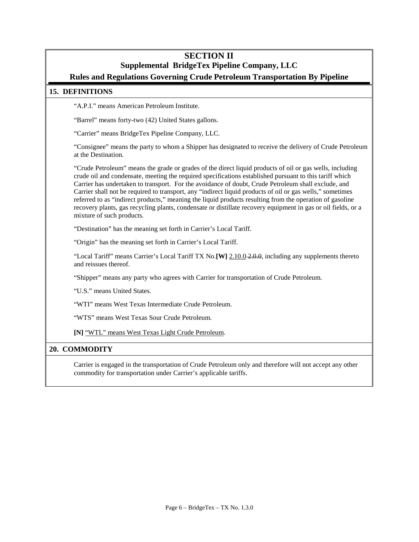# **SECTION II**

# **Supplemental BridgeTex Pipeline Company, LLC**

# **Rules and Regulations Governing Crude Petroleum Transportation By Pipeline**

#### **15. DEFINITIONS**

"A.P.I." means American Petroleum Institute.

"Barrel" means forty-two (42) United States gallons.

"Carrier" means BridgeTex Pipeline Company, LLC.

"Consignee" means the party to whom a Shipper has designated to receive the delivery of Crude Petroleum at the Destination.

"Crude Petroleum" means the grade or grades of the direct liquid products of oil or gas wells, including crude oil and condensate, meeting the required specifications established pursuant to this tariff which Carrier has undertaken to transport. For the avoidance of doubt, Crude Petroleum shall exclude, and Carrier shall not be required to transport, any "indirect liquid products of oil or gas wells," sometimes referred to as "indirect products," meaning the liquid products resulting from the operation of gasoline recovery plants, gas recycling plants, condensate or distillate recovery equipment in gas or oil fields, or a mixture of such products.

"Destination" has the meaning set forth in Carrier's Local Tariff.

"Origin" has the meaning set forth in Carrier's Local Tariff.

"Local Tariff" means Carrier's Local Tariff TX No.**[W]** 2.10.0 2.0.0, including any supplements thereto and reissues thereof.

"Shipper" means any party who agrees with Carrier for transportation of Crude Petroleum.

"U.S." means United States.

"WTI" means West Texas Intermediate Crude Petroleum.

"WTS" means West Texas Sour Crude Petroleum.

**[N]** "WTL" means West Texas Light Crude Petroleum.

#### **20. COMMODITY**

Carrier is engaged in the transportation of Crude Petroleum only and therefore will not accept any other commodity for transportation under Carrier's applicable tariffs.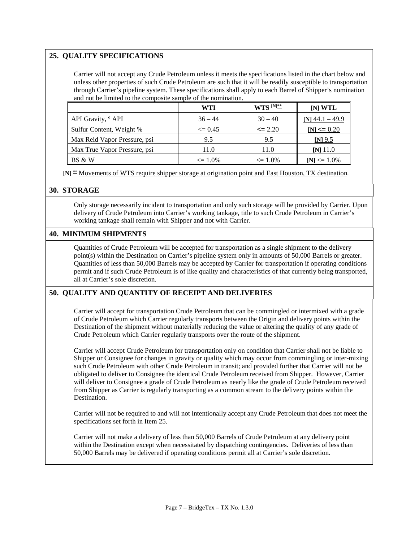### **25. QUALITY SPECIFICATIONS**

Carrier will not accept any Crude Petroleum unless it meets the specifications listed in the chart below and unless other properties of such Crude Petroleum are such that it will be readily susceptible to transportation through Carrier's pipeline system. These specifications shall apply to each Barrel of Shipper's nomination and not be limited to the composite sample of the nomination.

|                               | WTI                | WTS <sup>[N]**</sup> | [N] WTL           |
|-------------------------------|--------------------|----------------------|-------------------|
| API Gravity, <sup>o</sup> API | $36 - 44$          | $30 - 40$            | $[N]$ 44.1 – 49.9 |
| Sulfur Content, Weight %      | $\leq$ 0.45        | $\leq$ 2.20          | $[N] \le 0.20$    |
| Max Reid Vapor Pressure, psi  | 9.5                | 9.5                  | $[N]$ 9.5         |
| Max True Vapor Pressure, psi  | 11.0               | 11.0                 | <u>INJ 11.0</u>   |
| BS & W                        | $\epsilon = 1.0\%$ | $\leq 1.0\%$         | $[N] \leq 1.0\%$  |

 **[N]** \*\* Movements of WTS require shipper storage at origination point and East Houston, TX destination.

#### **30. STORAGE**

Only storage necessarily incident to transportation and only such storage will be provided by Carrier. Upon delivery of Crude Petroleum into Carrier's working tankage, title to such Crude Petroleum in Carrier's working tankage shall remain with Shipper and not with Carrier.

#### **40. MINIMUM SHIPMENTS**

Quantities of Crude Petroleum will be accepted for transportation as a single shipment to the delivery point(s) within the Destination on Carrier's pipeline system only in amounts of 50,000 Barrels or greater. Quantities of less than 50,000 Barrels may be accepted by Carrier for transportation if operating conditions permit and if such Crude Petroleum is of like quality and characteristics of that currently being transported, all at Carrier's sole discretion.

#### **50. QUALITY AND QUANTITY OF RECEIPT AND DELIVERIES**

Carrier will accept for transportation Crude Petroleum that can be commingled or intermixed with a grade of Crude Petroleum which Carrier regularly transports between the Origin and delivery points within the Destination of the shipment without materially reducing the value or altering the quality of any grade of Crude Petroleum which Carrier regularly transports over the route of the shipment.

Carrier will accept Crude Petroleum for transportation only on condition that Carrier shall not be liable to Shipper or Consignee for changes in gravity or quality which may occur from commingling or inter-mixing such Crude Petroleum with other Crude Petroleum in transit; and provided further that Carrier will not be obligated to deliver to Consignee the identical Crude Petroleum received from Shipper. However, Carrier will deliver to Consignee a grade of Crude Petroleum as nearly like the grade of Crude Petroleum received from Shipper as Carrier is regularly transporting as a common stream to the delivery points within the Destination.

Carrier will not be required to and will not intentionally accept any Crude Petroleum that does not meet the specifications set forth in Item 25.

Carrier will not make a delivery of less than 50,000 Barrels of Crude Petroleum at any delivery point within the Destination except when necessitated by dispatching contingencies. Deliveries of less than 50,000 Barrels may be delivered if operating conditions permit all at Carrier's sole discretion.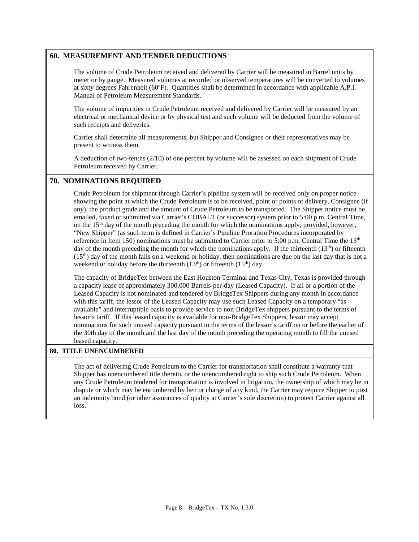### **60. MEASUREMENT AND TENDER DEDUCTIONS**

The volume of Crude Petroleum received and delivered by Carrier will be measured in Barrel units by meter or by gauge. Measured volumes at recorded or observed temperatures will be converted to volumes at sixty degrees Fahrenheit (60ºF). Quantities shall be determined in accordance with applicable A.P.I. Manual of Petroleum Measurement Standards.

The volume of impurities in Crude Petroleum received and delivered by Carrier will be measured by an electrical or mechanical device or by physical test and such volume will be deducted from the volume of such receipts and deliveries.

Carrier shall determine all measurements, but Shipper and Consignee or their representatives may be present to witness them.

A deduction of two-tenths (2/10) of one percent by volume will be assessed on each shipment of Crude Petroleum received by Carrier.

### **70. NOMINATIONS REQUIRED**

Crude Petroleum for shipment through Carrier's pipeline system will be received only on proper notice showing the point at which the Crude Petroleum is to be received, point or points of delivery, Consignee (if any), the product grade and the amount of Crude Petroleum to be transported. The Shipper notice must be emailed, faxed or submitted via Carrier's COBALT (or successor) system prior to 5:00 p.m. Central Time, on the  $15<sup>th</sup>$  day of the month preceding the month for which the nominations apply; provided, however, "New Shipper" (as such term is defined in Carrier's Pipeline Proration Procedures incorporated by reference in Item 150) nominations must be submitted to Carrier prior to 5:00 p.m. Central Time the  $13<sup>th</sup>$ day of the month preceding the month for which the nominations apply. If the thirteenth (13<sup>th</sup>) or fifteenth  $(15<sup>th</sup>)$  day of the month falls on a weekend or holiday, then nominations are due on the last day that is not a weekend or holiday before the thirteenth  $(13<sup>th</sup>)$  or fifteenth  $(15<sup>th</sup>)$  day.

The capacity of BridgeTex between the East Houston Terminal and Texas City, Texas is provided through a capacity lease of approximately 300,000 Barrels-per-day (Leased Capacity). If all or a portion of the Leased Capacity is not nominated and tendered by BridgeTex Shippers during any month in accordance with this tariff, the lessor of the Leased Capacity may use such Leased Capacity on a temporary "as available" and interruptible basis to provide service to non-BridgeTex shippers pursuant to the terms of lessor's tariff. If this leased capacity is available for non-BridgeTex Shippers, lessor may accept nominations for such unused capacity pursuant to the terms of the lessor's tariff on or before the earlier of the 30th day of the month and the last day of the month preceding the operating month to fill the unused leased capacity.

#### **80. TITLE UNENCUMBERED**

The act of delivering Crude Petroleum to the Carrier for transportation shall constitute a warranty that Shipper has unencumbered title thereto, or the unencumbered right to ship such Crude Petroleum. When any Crude Petroleum tendered for transportation is involved in litigation, the ownership of which may be in dispute or which may be encumbered by lien or charge of any kind, the Carrier may require Shipper to post an indemnity bond (or other assurances of quality at Carrier's sole discretion) to protect Carrier against all loss.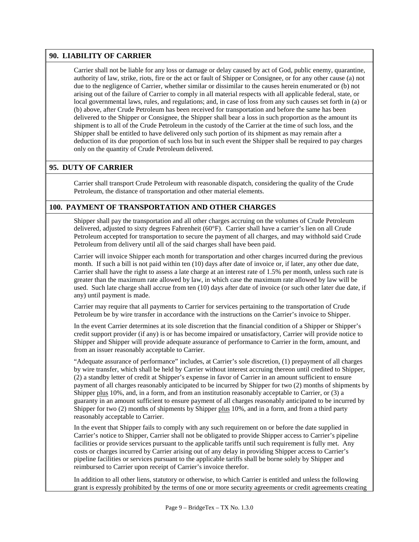#### **90. LIABILITY OF CARRIER**

Carrier shall not be liable for any loss or damage or delay caused by act of God, public enemy, quarantine, authority of law, strike, riots, fire or the act or fault of Shipper or Consignee, or for any other cause (a) not due to the negligence of Carrier, whether similar or dissimilar to the causes herein enumerated or (b) not arising out of the failure of Carrier to comply in all material respects with all applicable federal, state, or local governmental laws, rules, and regulations; and, in case of loss from any such causes set forth in (a) or (b) above, after Crude Petroleum has been received for transportation and before the same has been delivered to the Shipper or Consignee, the Shipper shall bear a loss in such proportion as the amount its shipment is to all of the Crude Petroleum in the custody of the Carrier at the time of such loss, and the Shipper shall be entitled to have delivered only such portion of its shipment as may remain after a deduction of its due proportion of such loss but in such event the Shipper shall be required to pay charges only on the quantity of Crude Petroleum delivered.

# **95. DUTY OF CARRIER**

Carrier shall transport Crude Petroleum with reasonable dispatch, considering the quality of the Crude Petroleum, the distance of transportation and other material elements.

#### **100. PAYMENT OF TRANSPORTATION AND OTHER CHARGES**

Shipper shall pay the transportation and all other charges accruing on the volumes of Crude Petroleum delivered, adjusted to sixty degrees Fahrenheit (60°F). Carrier shall have a carrier's lien on all Crude Petroleum accepted for transportation to secure the payment of all charges, and may withhold said Crude Petroleum from delivery until all of the said charges shall have been paid.

Carrier will invoice Shipper each month for transportation and other charges incurred during the previous month. If such a bill is not paid within ten (10) days after date of invoice or, if later, any other due date, Carrier shall have the right to assess a late charge at an interest rate of 1.5% per month, unless such rate is greater than the maximum rate allowed by law, in which case the maximum rate allowed by law will be used. Such late charge shall accrue from ten (10) days after date of invoice (or such other later due date, if any) until payment is made.

Carrier may require that all payments to Carrier for services pertaining to the transportation of Crude Petroleum be by wire transfer in accordance with the instructions on the Carrier's invoice to Shipper.

In the event Carrier determines at its sole discretion that the financial condition of a Shipper or Shipper's credit support provider (if any) is or has become impaired or unsatisfactory, Carrier will provide notice to Shipper and Shipper will provide adequate assurance of performance to Carrier in the form, amount, and from an issuer reasonably acceptable to Carrier.

"Adequate assurance of performance" includes, at Carrier's sole discretion, (1) prepayment of all charges by wire transfer, which shall be held by Carrier without interest accruing thereon until credited to Shipper, (2) a standby letter of credit at Shipper's expense in favor of Carrier in an amount sufficient to ensure payment of all charges reasonably anticipated to be incurred by Shipper for two (2) months of shipments by Shipper plus 10%, and, in a form, and from an institution reasonably acceptable to Carrier, or (3) a guaranty in an amount sufficient to ensure payment of all charges reasonably anticipated to be incurred by Shipper for two (2) months of shipments by Shipper plus 10%, and in a form, and from a third party reasonably acceptable to Carrier.

In the event that Shipper fails to comply with any such requirement on or before the date supplied in Carrier's notice to Shipper, Carrier shall not be obligated to provide Shipper access to Carrier's pipeline facilities or provide services pursuant to the applicable tariffs until such requirement is fully met. Any costs or charges incurred by Carrier arising out of any delay in providing Shipper access to Carrier's pipeline facilities or services pursuant to the applicable tariffs shall be borne solely by Shipper and reimbursed to Carrier upon receipt of Carrier's invoice therefor.

In addition to all other liens, statutory or otherwise, to which Carrier is entitled and unless the following grant is expressly prohibited by the terms of one or more security agreements or credit agreements creating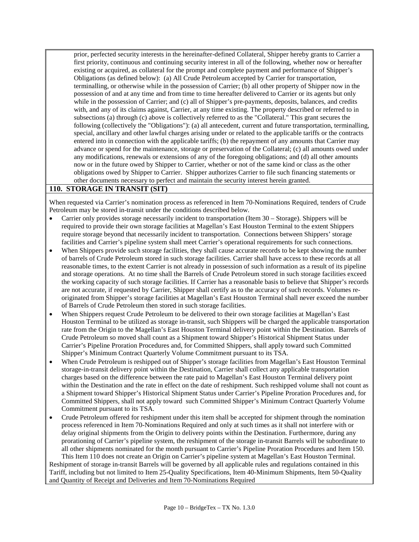prior, perfected security interests in the hereinafter-defined Collateral, Shipper hereby grants to Carrier a first priority, continuous and continuing security interest in all of the following, whether now or hereafter existing or acquired, as collateral for the prompt and complete payment and performance of Shipper's Obligations (as defined below): (a) All Crude Petroleum accepted by Carrier for transportation, terminalling, or otherwise while in the possession of Carrier; (b) all other property of Shipper now in the possession of and at any time and from time to time hereafter delivered to Carrier or its agents but only while in the possession of Carrier; and (c) all of Shipper's pre-payments, deposits, balances, and credits with, and any of its claims against, Carrier, at any time existing. The property described or referred to in subsections (a) through (c) above is collectively referred to as the "Collateral." This grant secures the following (collectively the "Obligations"): (a) all antecedent, current and future transportation, terminalling, special, ancillary and other lawful charges arising under or related to the applicable tariffs or the contracts entered into in connection with the applicable tariffs; (b) the repayment of any amounts that Carrier may advance or spend for the maintenance, storage or preservation of the Collateral; (c) all amounts owed under any modifications, renewals or extensions of any of the foregoing obligations; and (d) all other amounts now or in the future owed by Shipper to Carrier, whether or not of the same kind or class as the other obligations owed by Shipper to Carrier. Shipper authorizes Carrier to file such financing statements or other documents necessary to perfect and maintain the security interest herein granted.

#### **110. STORAGE IN TRANSIT (SIT)**

When requested via Carrier's nomination process as referenced in Item 70-Nominations Required, tenders of Crude Petroleum may be stored in-transit under the conditions described below.

- Carrier only provides storage necessarily incident to transportation (Item 30 Storage). Shippers will be required to provide their own storage facilities at Magellan's East Houston Terminal to the extent Shippers require storage beyond that necessarily incident to transportation. Connections between Shippers' storage facilities and Carrier's pipeline system shall meet Carrier's operational requirements for such connections.
- When Shippers provide such storage facilities, they shall cause accurate records to be kept showing the number of barrels of Crude Petroleum stored in such storage facilities. Carrier shall have access to these records at all reasonable times, to the extent Carrier is not already in possession of such information as a result of its pipeline and storage operations. At no time shall the Barrels of Crude Petroleum stored in such storage facilities exceed the working capacity of such storage facilities. If Carrier has a reasonable basis to believe that Shipper's records are not accurate, if requested by Carrier, Shipper shall certify as to the accuracy of such records. Volumes reoriginated from Shipper's storage facilities at Magellan's East Houston Terminal shall never exceed the number of Barrels of Crude Petroleum then stored in such storage facilities.
- When Shippers request Crude Petroleum to be delivered to their own storage facilities at Magellan's East Houston Terminal to be utilized as storage in-transit, such Shippers will be charged the applicable transportation rate from the Origin to the Magellan's East Houston Terminal delivery point within the Destination. Barrels of Crude Petroleum so moved shall count as a Shipment toward Shipper's Historical Shipment Status under Carrier's Pipeline Proration Procedures and, for Committed Shippers, shall apply toward such Committed Shipper's Minimum Contract Quarterly Volume Commitment pursuant to its TSA.
- When Crude Petroleum is reshipped out of Shipper's storage facilities from Magellan's East Houston Terminal storage-in-transit delivery point within the Destination, Carrier shall collect any applicable transportation charges based on the difference between the rate paid to Magellan's East Houston Terminal delivery point within the Destination and the rate in effect on the date of reshipment. Such reshipped volume shall not count as a Shipment toward Shipper's Historical Shipment Status under Carrier's Pipeline Proration Procedures and, for Committed Shippers, shall not apply toward such Committed Shipper's Minimum Contract Quarterly Volume Commitment pursuant to its TSA.
- Crude Petroleum offered for reshipment under this item shall be accepted for shipment through the nomination process referenced in Item 70-Nominations Required and only at such times as it shall not interfere with or delay original shipments from the Origin to delivery points within the Destination. Furthermore, during any prorationing of Carrier's pipeline system, the reshipment of the storage in-transit Barrels will be subordinate to all other shipments nominated for the month pursuant to Carrier's Pipeline Proration Procedures and Item 150.

This Item 110 does not create an Origin on Carrier's pipeline system at Magellan's East Houston Terminal. Reshipment of storage in-transit Barrels will be governed by all applicable rules and regulations contained in this Tariff, including but not limited to Item 25-Quality Specifications, Item 40-Minimum Shipments, Item 50-Quality and Quantity of Receipt and Deliveries and Item 70-Nominations Required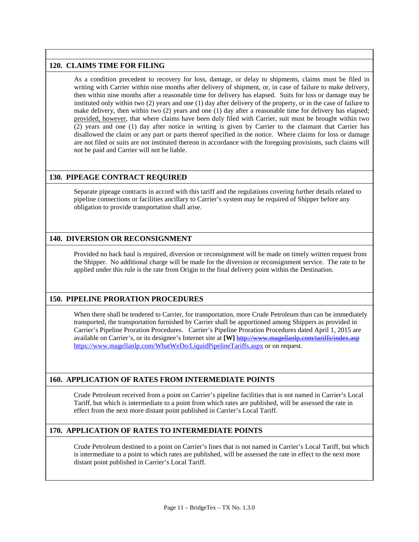# **120. CLAIMS TIME FOR FILING**

As a condition precedent to recovery for loss, damage, or delay to shipments, claims must be filed in writing with Carrier within nine months after delivery of shipment, or, in case of failure to make delivery, then within nine months after a reasonable time for delivery has elapsed. Suits for loss or damage may be instituted only within two (2) years and one (1) day after delivery of the property, or in the case of failure to make delivery, then within two (2) years and one (1) day after a reasonable time for delivery has elapsed; provided, however, that where claims have been duly filed with Carrier, suit must be brought within two (2) years and one (1) day after notice in writing is given by Carrier to the claimant that Carrier has disallowed the claim or any part or parts thereof specified in the notice. Where claims for loss or damage are not filed or suits are not instituted thereon in accordance with the foregoing provisions, such claims will not be paid and Carrier will not be liable.

# **130. PIPEAGE CONTRACT REQUIRED**

Separate pipeage contracts in accord with this tariff and the regulations covering further details related to pipeline connections or facilities ancillary to Carrier's system may be required of Shipper before any obligation to provide transportation shall arise.

# **140. DIVERSION OR RECONSIGNMENT**

Provided no back haul is required, diversion or reconsignment will be made on timely written request from the Shipper. No additional charge will be made for the diversion or reconsignment service. The rate to be applied under this rule is the rate from Origin to the final delivery point within the Destination.

# **150. PIPELINE PRORATION PROCEDURES**

When there shall be tendered to Carrier, for transportation, more Crude Petroleum than can be immediately transported, the transportation furnished by Carrier shall be apportioned among Shippers as provided in Carrier's Pipeline Proration Procedures. Carrier's Pipeline Proration Procedures dated April 1, 2015 are available on Carrier's, or its designee's Internet site at **[W]** <http://www.magellanlp.com/tariffs/index.asp> <https://www.magellanlp.com/WhatWeDo/LiquidPipelineTariffs.aspx> or on request.

# **160. APPLICATION OF RATES FROM INTERMEDIATE POINTS**

Crude Petroleum received from a point on Carrier's pipeline facilities that is not named in Carrier's Local Tariff, but which is intermediate to a point from which rates are published, will be assessed the rate in effect from the next more distant point published in Carrier's Local Tariff.

# **170. APPLICATION OF RATES TO INTERMEDIATE POINTS**

Crude Petroleum destined to a point on Carrier's lines that is not named in Carrier's Local Tariff, but which is intermediate to a point to which rates are published, will be assessed the rate in effect to the next more distant point published in Carrier's Local Tariff.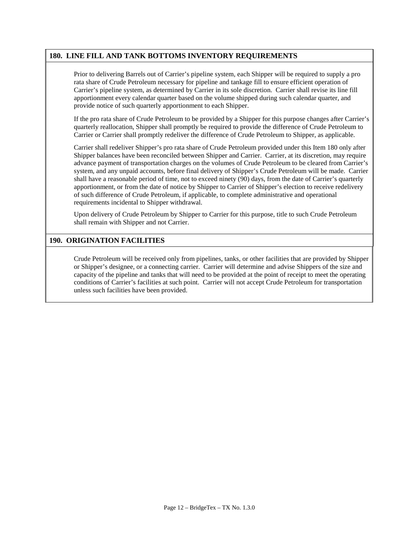#### **180. LINE FILL AND TANK BOTTOMS INVENTORY REQUIREMENTS**

Prior to delivering Barrels out of Carrier's pipeline system, each Shipper will be required to supply a pro rata share of Crude Petroleum necessary for pipeline and tankage fill to ensure efficient operation of Carrier's pipeline system, as determined by Carrier in its sole discretion. Carrier shall revise its line fill apportionment every calendar quarter based on the volume shipped during such calendar quarter, and provide notice of such quarterly apportionment to each Shipper.

If the pro rata share of Crude Petroleum to be provided by a Shipper for this purpose changes after Carrier's quarterly reallocation, Shipper shall promptly be required to provide the difference of Crude Petroleum to Carrier or Carrier shall promptly redeliver the difference of Crude Petroleum to Shipper, as applicable.

Carrier shall redeliver Shipper's pro rata share of Crude Petroleum provided under this Item 180 only after Shipper balances have been reconciled between Shipper and Carrier. Carrier, at its discretion, may require advance payment of transportation charges on the volumes of Crude Petroleum to be cleared from Carrier's system, and any unpaid accounts, before final delivery of Shipper's Crude Petroleum will be made. Carrier shall have a reasonable period of time, not to exceed ninety (90) days, from the date of Carrier's quarterly apportionment, or from the date of notice by Shipper to Carrier of Shipper's election to receive redelivery of such difference of Crude Petroleum, if applicable, to complete administrative and operational requirements incidental to Shipper withdrawal.

Upon delivery of Crude Petroleum by Shipper to Carrier for this purpose, title to such Crude Petroleum shall remain with Shipper and not Carrier.

#### **190. ORIGINATION FACILITIES**

Crude Petroleum will be received only from pipelines, tanks, or other facilities that are provided by Shipper or Shipper's designee, or a connecting carrier. Carrier will determine and advise Shippers of the size and capacity of the pipeline and tanks that will need to be provided at the point of receipt to meet the operating conditions of Carrier's facilities at such point. Carrier will not accept Crude Petroleum for transportation unless such facilities have been provided.